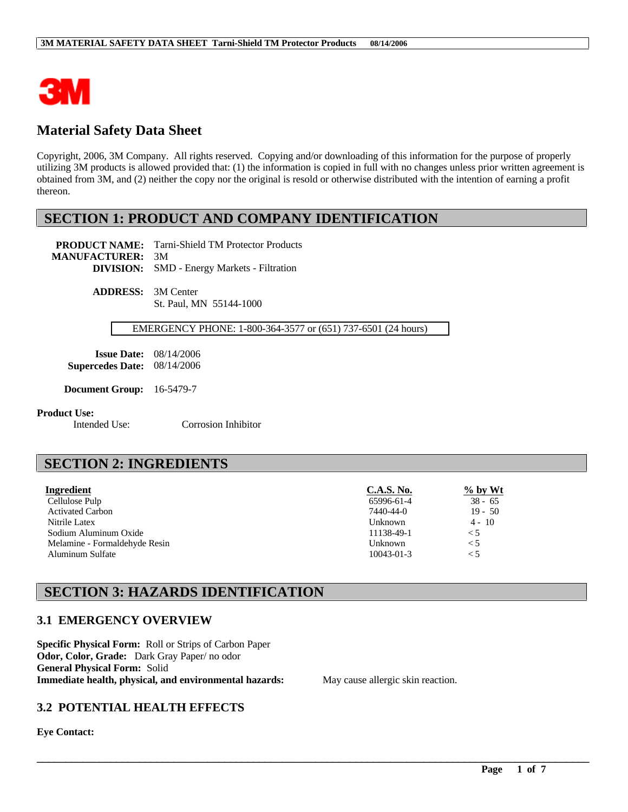

# **Material Safety Data Sheet**

Copyright, 2006, 3M Company. All rights reserved. Copying and/or downloading of this information for the purpose of properly utilizing 3M products is allowed provided that: (1) the information is copied in full with no changes unless prior written agreement is obtained from 3M, and (2) neither the copy nor the original is resold or otherwise distributed with the intention of earning a profit thereon.

# **SECTION 1: PRODUCT AND COMPANY IDENTIFICATION**

**PRODUCT NAME:** Tarni-Shield TM Protector Products **MANUFACTURER:** 3M

**DIVISION:** SMD - Energy Markets - Filtration

**ADDRESS:** 3M Center St. Paul, MN 55144-1000

### EMERGENCY PHONE: 1-800-364-3577 or (651) 737-6501 (24 hours)

**Issue Date:** 08/14/2006 **Supercedes Date:** 08/14/2006

**Document Group:** 16-5479-7

#### **Product Use:**

Intended Use: Corrosion Inhibitor

# **SECTION 2: INGREDIENTS**

| Ingredient                    | <b>C.A.S. No.</b> | $\%$ by Wt |
|-------------------------------|-------------------|------------|
| Cellulose Pulp                | 65996-61-4        | $38 - 65$  |
| <b>Activated Carbon</b>       | 7440-44-0         | $19 - 50$  |
| Nitrile Latex                 | Unknown           | $4 - 10$   |
| Sodium Aluminum Oxide         | 11138-49-1        | $\leq 5$   |
| Melamine - Formaldehyde Resin | Unknown           | $\leq 5$   |
| Aluminum Sulfate              | 10043-01-3        | $\leq 5$   |

\_\_\_\_\_\_\_\_\_\_\_\_\_\_\_\_\_\_\_\_\_\_\_\_\_\_\_\_\_\_\_\_\_\_\_\_\_\_\_\_\_\_\_\_\_\_\_\_\_\_\_\_\_\_\_\_\_\_\_\_\_\_\_\_\_\_\_\_\_\_\_\_\_\_\_\_\_\_\_\_\_\_\_\_\_\_\_\_\_\_\_\_\_\_\_\_\_

# **SECTION 3: HAZARDS IDENTIFICATION**

### **3.1 EMERGENCY OVERVIEW**

**Specific Physical Form:** Roll or Strips of Carbon Paper **Odor, Color, Grade:** Dark Gray Paper/ no odor **General Physical Form:** Solid **Immediate health, physical, and environmental hazards:** May cause allergic skin reaction.

### **3.2 POTENTIAL HEALTH EFFECTS**

**Eye Contact:**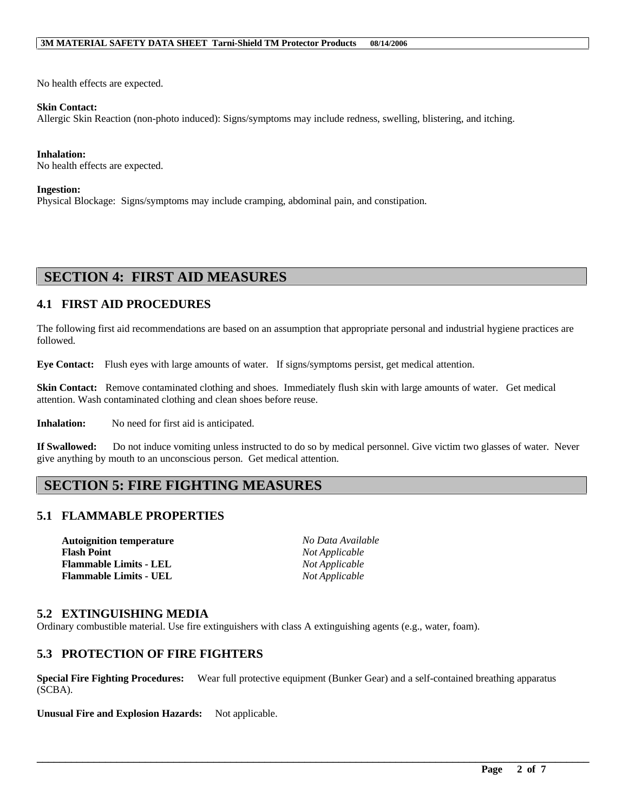No health effects are expected.

#### **Skin Contact:**

Allergic Skin Reaction (non-photo induced): Signs/symptoms may include redness, swelling, blistering, and itching.

#### **Inhalation:**

No health effects are expected.

#### **Ingestion:**

Physical Blockage: Signs/symptoms may include cramping, abdominal pain, and constipation.

### **SECTION 4: FIRST AID MEASURES**

### **4.1 FIRST AID PROCEDURES**

The following first aid recommendations are based on an assumption that appropriate personal and industrial hygiene practices are followed.

**Eye Contact:** Flush eyes with large amounts of water. If signs/symptoms persist, get medical attention.

**Skin Contact:** Remove contaminated clothing and shoes. Immediately flush skin with large amounts of water. Get medical attention. Wash contaminated clothing and clean shoes before reuse.

**Inhalation:** No need for first aid is anticipated.

**If Swallowed:** Do not induce vomiting unless instructed to do so by medical personnel. Give victim two glasses of water. Never give anything by mouth to an unconscious person. Get medical attention.

# **SECTION 5: FIRE FIGHTING MEASURES**

### **5.1 FLAMMABLE PROPERTIES**

**Autoignition temperature** *No Data Available* **Flash Point** *Not Applicable* **Flammable Limits - LEL** *Not Applicable* **Flammable Limits - UEL** *Not Applicable*

### **5.2 EXTINGUISHING MEDIA**

Ordinary combustible material. Use fire extinguishers with class A extinguishing agents (e.g., water, foam).

### **5.3 PROTECTION OF FIRE FIGHTERS**

**Special Fire Fighting Procedures:** Wear full protective equipment (Bunker Gear) and a self-contained breathing apparatus (SCBA).

\_\_\_\_\_\_\_\_\_\_\_\_\_\_\_\_\_\_\_\_\_\_\_\_\_\_\_\_\_\_\_\_\_\_\_\_\_\_\_\_\_\_\_\_\_\_\_\_\_\_\_\_\_\_\_\_\_\_\_\_\_\_\_\_\_\_\_\_\_\_\_\_\_\_\_\_\_\_\_\_\_\_\_\_\_\_\_\_\_\_\_\_\_\_\_\_\_

**Unusual Fire and Explosion Hazards:** Not applicable.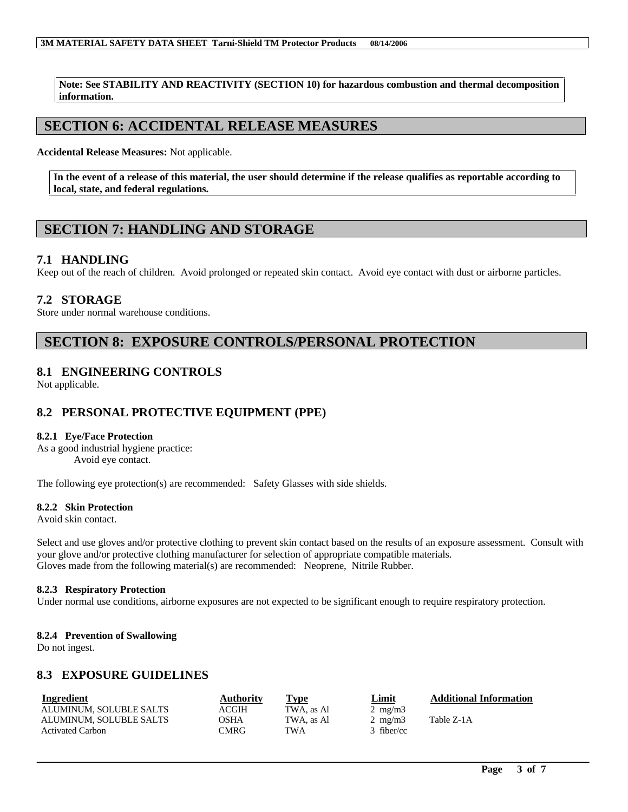**Note: See STABILITY AND REACTIVITY (SECTION 10) for hazardous combustion and thermal decomposition information.**

# **SECTION 6: ACCIDENTAL RELEASE MEASURES**

**Accidental Release Measures:** Not applicable.

**In the event of a release of this material, the user should determine if the release qualifies as reportable according to local, state, and federal regulations.**

# **SECTION 7: HANDLING AND STORAGE**

### **7.1 HANDLING**

Keep out of the reach of children. Avoid prolonged or repeated skin contact. Avoid eye contact with dust or airborne particles.

### **7.2 STORAGE**

Store under normal warehouse conditions.

# **SECTION 8: EXPOSURE CONTROLS/PERSONAL PROTECTION**

### **8.1 ENGINEERING CONTROLS**

Not applicable.

### **8.2 PERSONAL PROTECTIVE EQUIPMENT (PPE)**

### **8.2.1 Eye/Face Protection**

As a good industrial hygiene practice: Avoid eye contact.

The following eye protection(s) are recommended: Safety Glasses with side shields.

#### **8.2.2 Skin Protection**

Avoid skin contact.

Select and use gloves and/or protective clothing to prevent skin contact based on the results of an exposure assessment. Consult with your glove and/or protective clothing manufacturer for selection of appropriate compatible materials. Gloves made from the following material(s) are recommended: Neoprene, Nitrile Rubber.

#### **8.2.3 Respiratory Protection**

Under normal use conditions, airborne exposures are not expected to be significant enough to require respiratory protection.

#### **8.2.4 Prevention of Swallowing**

Do not ingest.

### **8.3 EXPOSURE GUIDELINES**

| <b>Ingredient</b>       | Authority    | Type       | Limit            | <b>Additional Information</b> |
|-------------------------|--------------|------------|------------------|-------------------------------|
| ALUMINUM. SOLUBLE SALTS | <b>ACGIH</b> | TWA, as Al | $2 \text{ mg/m}$ |                               |
| ALUMINUM, SOLUBLE SALTS | OSHA         | TWA, as Al | $2 \text{ mg/m}$ | Table Z-1A                    |
| <b>Activated Carbon</b> | CMRG         | TWA        | $3$ fiber/cc     |                               |

\_\_\_\_\_\_\_\_\_\_\_\_\_\_\_\_\_\_\_\_\_\_\_\_\_\_\_\_\_\_\_\_\_\_\_\_\_\_\_\_\_\_\_\_\_\_\_\_\_\_\_\_\_\_\_\_\_\_\_\_\_\_\_\_\_\_\_\_\_\_\_\_\_\_\_\_\_\_\_\_\_\_\_\_\_\_\_\_\_\_\_\_\_\_\_\_\_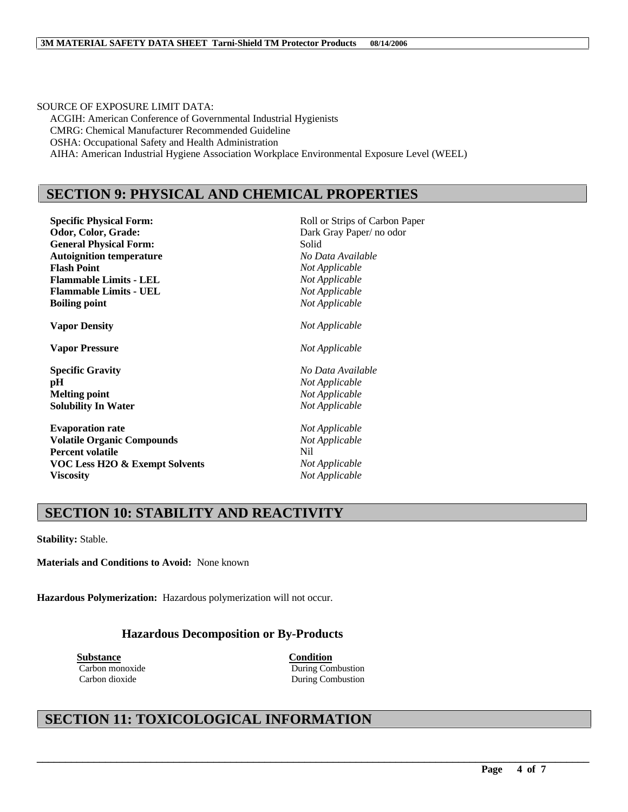SOURCE OF EXPOSURE LIMIT DATA: ACGIH: American Conference of Governmental Industrial Hygienists CMRG: Chemical Manufacturer Recommended Guideline OSHA: Occupational Safety and Health Administration AIHA: American Industrial Hygiene Association Workplace Environmental Exposure Level (WEEL)

### **SECTION 9: PHYSICAL AND CHEMICAL PROPERTIES**

**Specific Physical Form:** Roll or Strips of Carbon Paper **Odor, Color, Grade:** Dark Gray Paper/ no odor **General Physical Form:** Solid **Autoignition temperature** *No Data Available* **Flash Point** *Not Applicable* **Flammable Limits - LEL** *Not Applicable* **Flammable Limits - UEL** *Not Applicable* **Boiling point** *Not Applicable*

**Vapor Pressure** *Not Applicable*

**pH** *Not Applicable* **Melting point** *Not Applicable* **Solubility In Water** *Not Applicable*

**Evaporation rate** *Not Applicable* **Volatile Organic Compounds** *Not Applicable* **Percent volatile** Nil **VOC Less H2O & Exempt Solvents** *Not Applicable* **Viscosity** *Not Applicable*

**Vapor Density** *Not Applicable* **Specific Gravity** *No Data Available*

### **SECTION 10: STABILITY AND REACTIVITY**

**Stability:** Stable.

**Materials and Conditions to Avoid:** None known

**Hazardous Polymerization:** Hazardous polymerization will not occur.

### **Hazardous Decomposition or By-Products**

**Substance Condition**

Carbon monoxide During Combustion Carbon dioxide During Combustion

\_\_\_\_\_\_\_\_\_\_\_\_\_\_\_\_\_\_\_\_\_\_\_\_\_\_\_\_\_\_\_\_\_\_\_\_\_\_\_\_\_\_\_\_\_\_\_\_\_\_\_\_\_\_\_\_\_\_\_\_\_\_\_\_\_\_\_\_\_\_\_\_\_\_\_\_\_\_\_\_\_\_\_\_\_\_\_\_\_\_\_\_\_\_\_\_\_

# **SECTION 11: TOXICOLOGICAL INFORMATION**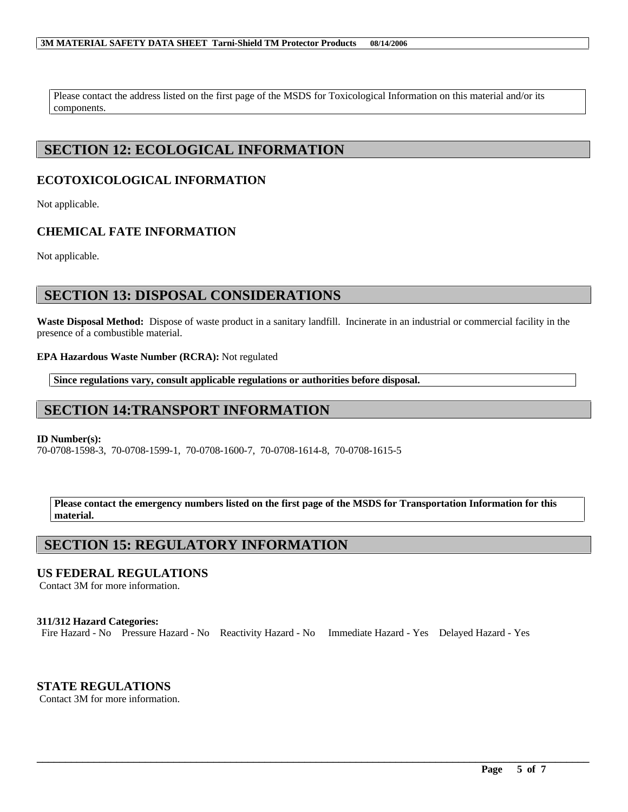#### **3M MATERIAL SAFETY DATA SHEET Tarni-Shield TM Protector Products 08/14/2006**

Please contact the address listed on the first page of the MSDS for Toxicological Information on this material and/or its components.

# **SECTION 12: ECOLOGICAL INFORMATION**

### **ECOTOXICOLOGICAL INFORMATION**

Not applicable.

### **CHEMICAL FATE INFORMATION**

Not applicable.

# **SECTION 13: DISPOSAL CONSIDERATIONS**

**Waste Disposal Method:** Dispose of waste product in a sanitary landfill. Incinerate in an industrial or commercial facility in the presence of a combustible material.

### **EPA Hazardous Waste Number (RCRA):** Not regulated

**Since regulations vary, consult applicable regulations or authorities before disposal.**

# **SECTION 14:TRANSPORT INFORMATION**

### **ID Number(s):**

70-0708-1598-3, 70-0708-1599-1, 70-0708-1600-7, 70-0708-1614-8, 70-0708-1615-5

**Please contact the emergency numbers listed on the first page of the MSDS for Transportation Information for this material.**

# **SECTION 15: REGULATORY INFORMATION**

### **US FEDERAL REGULATIONS**

Contact 3M for more information.

### **311/312 Hazard Categories:**

Fire Hazard - No Pressure Hazard - No Reactivity Hazard - No Immediate Hazard - Yes Delayed Hazard - Yes

\_\_\_\_\_\_\_\_\_\_\_\_\_\_\_\_\_\_\_\_\_\_\_\_\_\_\_\_\_\_\_\_\_\_\_\_\_\_\_\_\_\_\_\_\_\_\_\_\_\_\_\_\_\_\_\_\_\_\_\_\_\_\_\_\_\_\_\_\_\_\_\_\_\_\_\_\_\_\_\_\_\_\_\_\_\_\_\_\_\_\_\_\_\_\_\_\_

### **STATE REGULATIONS**

Contact 3M for more information.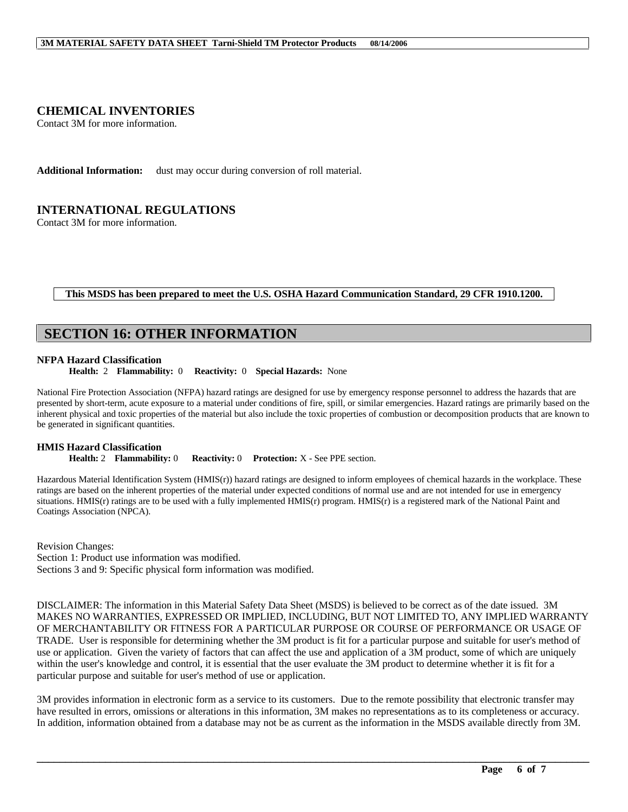### **CHEMICAL INVENTORIES**

Contact 3M for more information.

**Additional Information:** dust may occur during conversion of roll material.

### **INTERNATIONAL REGULATIONS**

Contact 3M for more information.

#### **This MSDS has been prepared to meet the U.S. OSHA Hazard Communication Standard, 29 CFR 1910.1200.**

### **SECTION 16: OTHER INFORMATION**

#### **NFPA Hazard Classification**

**Health:** 2 **Flammability:** 0 **Reactivity:** 0 **Special Hazards:** None

National Fire Protection Association (NFPA) hazard ratings are designed for use by emergency response personnel to address the hazards that are presented by short-term, acute exposure to a material under conditions of fire, spill, or similar emergencies. Hazard ratings are primarily based on the inherent physical and toxic properties of the material but also include the toxic properties of combustion or decomposition products that are known to be generated in significant quantities.

# **HMIS Hazard Classification**<br>**Health: 2 Flammability: 0**

**Reactivity: 0 Protection: X** - See PPE section.

Hazardous Material Identification System (HMIS(r)) hazard ratings are designed to inform employees of chemical hazards in the workplace. These ratings are based on the inherent properties of the material under expected conditions of normal use and are not intended for use in emergency situations. HMIS(r) ratings are to be used with a fully implemented HMIS(r) program. HMIS(r) is a registered mark of the National Paint and Coatings Association (NPCA).

Revision Changes: Section 1: Product use information was modified. Sections 3 and 9: Specific physical form information was modified.

DISCLAIMER: The information in this Material Safety Data Sheet (MSDS) is believed to be correct as of the date issued. 3M MAKES NO WARRANTIES, EXPRESSED OR IMPLIED, INCLUDING, BUT NOT LIMITED TO, ANY IMPLIED WARRANTY OF MERCHANTABILITY OR FITNESS FOR A PARTICULAR PURPOSE OR COURSE OF PERFORMANCE OR USAGE OF TRADE. User is responsible for determining whether the 3M product is fit for a particular purpose and suitable for user's method of use or application. Given the variety of factors that can affect the use and application of a 3M product, some of which are uniquely within the user's knowledge and control, it is essential that the user evaluate the 3M product to determine whether it is fit for a particular purpose and suitable for user's method of use or application.

3M provides information in electronic form as a service to its customers. Due to the remote possibility that electronic transfer may have resulted in errors, omissions or alterations in this information, 3M makes no representations as to its completeness or accuracy. In addition, information obtained from a database may not be as current as the information in the MSDS available directly from 3M.

\_\_\_\_\_\_\_\_\_\_\_\_\_\_\_\_\_\_\_\_\_\_\_\_\_\_\_\_\_\_\_\_\_\_\_\_\_\_\_\_\_\_\_\_\_\_\_\_\_\_\_\_\_\_\_\_\_\_\_\_\_\_\_\_\_\_\_\_\_\_\_\_\_\_\_\_\_\_\_\_\_\_\_\_\_\_\_\_\_\_\_\_\_\_\_\_\_